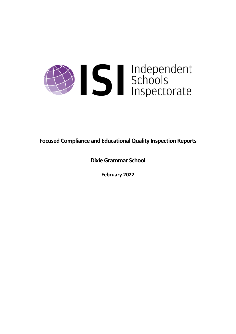

**Focused Compliance and EducationalQuality Inspection Reports**

**Dixie Grammar School**

**February 2022**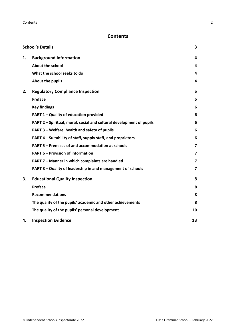# **Contents**

|    | <b>School's Details</b>                                              | 3                       |
|----|----------------------------------------------------------------------|-------------------------|
| 1. | <b>Background Information</b>                                        | 4                       |
|    | <b>About the school</b>                                              | 4                       |
|    | What the school seeks to do                                          | 4                       |
|    | About the pupils                                                     | 4                       |
| 2. | <b>Regulatory Compliance Inspection</b>                              | 5                       |
|    | Preface                                                              | 5                       |
|    | <b>Key findings</b>                                                  | 6                       |
|    | PART 1 - Quality of education provided                               | 6                       |
|    | PART 2 - Spiritual, moral, social and cultural development of pupils | 6                       |
|    | PART 3 - Welfare, health and safety of pupils                        | 6                       |
|    | PART 4 – Suitability of staff, supply staff, and proprietors         | 6                       |
|    | PART 5 - Premises of and accommodation at schools                    | $\overline{\mathbf{z}}$ |
|    | <b>PART 6 - Provision of information</b>                             | $\overline{\mathbf{z}}$ |
|    | PART 7 - Manner in which complaints are handled                      | $\overline{7}$          |
|    | PART 8 - Quality of leadership in and management of schools          | $\overline{\mathbf{z}}$ |
| 3. | <b>Educational Quality Inspection</b>                                | 8                       |
|    | Preface                                                              | 8                       |
|    | <b>Recommendations</b>                                               | 8                       |
|    | The quality of the pupils' academic and other achievements           | 8                       |
|    | The quality of the pupils' personal development                      | 10                      |
| 4. | <b>Inspection Evidence</b>                                           | 13                      |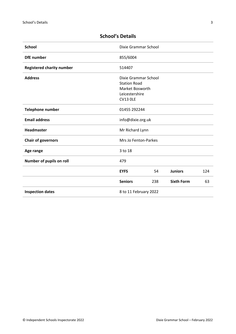| <b>School</b>                    | Dixie Grammar School                                           |     |                   |     |
|----------------------------------|----------------------------------------------------------------|-----|-------------------|-----|
| <b>DfE</b> number                | 855/6004                                                       |     |                   |     |
| <b>Registered charity number</b> | 514407                                                         |     |                   |     |
| <b>Address</b>                   | Dixie Grammar School<br><b>Station Road</b><br>Market Bosworth |     |                   |     |
|                                  | Leicestershire<br><b>CV13 OLE</b>                              |     |                   |     |
| Telephone number                 | 01455 292244                                                   |     |                   |     |
| <b>Email address</b>             | info@dixie.org.uk                                              |     |                   |     |
| <b>Headmaster</b>                | Mr Richard Lynn                                                |     |                   |     |
| <b>Chair of governors</b>        | Mrs Jo Fenton-Parkes                                           |     |                   |     |
| Age range                        | 3 to 18                                                        |     |                   |     |
| Number of pupils on roll         | 479                                                            |     |                   |     |
|                                  | <b>EYFS</b>                                                    | 54  | <b>Juniors</b>    | 124 |
|                                  | <b>Seniors</b>                                                 | 238 | <b>Sixth Form</b> | 63  |
| <b>Inspection dates</b>          | 8 to 11 February 2022                                          |     |                   |     |

# <span id="page-2-0"></span>**School's Details**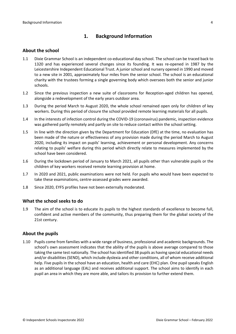# <span id="page-3-0"></span>**1. Background Information**

#### <span id="page-3-1"></span>**About the school**

- 1.1 Dixie Grammar School is an independent co-educational day school. The school can be traced back to 1320 and has experienced several changes since its founding. It was re-opened in 1987 by the Leicestershire Independent Educational Trust. A junior school and nursery opened in 1990 and moved to a new site in 2001, approximately four miles from the senior school. The school is an educational charity with the trustees forming a single governing body which oversees both the senior and junior schools.
- 1.2 Since the previous inspection a new suite of classrooms for Reception-aged children has opened, alongside a redevelopment of the early years outdoor area.
- 1.3 During the period March to August 2020, the whole school remained open only for children of key workers. During this period of closure the school provided remote learning materials for all pupils.
- 1.4 In the interests of infection control during the COVID-19 (coronavirus) pandemic, inspection evidence was gathered partly remotely and partly on site to reduce contact within the school setting.
- 1.5 In line with the direction given by the Department for Education (DfE) at the time, no evaluation has been made of the nature or effectiveness of any provision made during the period March to August 2020, including its impact on pupils' learning, achievement or personal development. Any concerns relating to pupils' welfare during this period which directly relate to measures implemented by the school have been considered.
- 1.6 During the lockdown period of January to March 2021, all pupils other than vulnerable pupils or the children of key workers received remote learning provision at home.
- 1.7 In 2020 and 2021, public examinations were not held. For pupils who would have been expected to take these examinations, centre-assessed grades were awarded.
- 1.8 Since 2020, EYFS profiles have not been externally moderated.

#### <span id="page-3-2"></span>**What the school seeks to do**

1.9 The aim of the school is to educate its pupils to the highest standards of excellence to become full, confident and active members of the community, thus preparing them for the global society of the 21st century.

#### <span id="page-3-3"></span>**About the pupils**

1.10 Pupils come from families with a wide range of business, professional and academic backgrounds. The school's own assessment indicates that the ability of the pupils is above average compared to those taking the same test nationally. The school has identified 38 pupils as having special educational needs and/or disabilities (SEND), which include dyslexia and other conditions, all of whom receive additional help. Five pupils in the school have an education, health and care (EHC) plan. One pupil speaks English as an additional language (EAL) and receives additional support. The school aims to identify in each pupil an area in which they are more able, and tailors its provision to further extend them.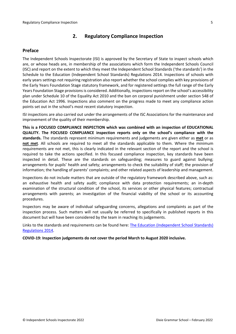# <span id="page-4-0"></span>**2. Regulatory Compliance Inspection**

# <span id="page-4-1"></span>**Preface**

The Independent Schools Inspectorate (ISI) is approved by the Secretary of State to inspect schools which are, or whose heads are, in membership of the associations which form the Independent Schools Council (ISC) and report on the extent to which they meet the Independent School Standards ('the standards') in the Schedule to the Education (Independent School Standards) Regulations 2014. Inspections of schools with early years settings not requiring registration also report whether the school complies with key provisions of the Early Years Foundation Stage statutory framework, and for registered settings the full range of the Early Years Foundation Stage provisions is considered. Additionally, inspections report on the school's accessibility plan under Schedule 10 of the Equality Act 2010 and the ban on corporal punishment under section 548 of the Education Act 1996. Inspections also comment on the progress made to meet any compliance action points set out in the school's most recent statutory inspection.

ISI inspections are also carried out under the arrangements of the ISC Associations for the maintenance and improvement of the quality of their membership.

**This is a FOCUSED COMPLIANCE INSPECTION which was combined with an inspection of EDUCATIONAL QUALITY. The FOCUSED COMPLIANCE inspection reports only on the school's compliance with the standards.** The standards represent minimum requirements and judgements are given either as **met** or as **not met**. All schools are required to meet all the standards applicable to them. Where the minimum requirements are not met, this is clearly indicated in the relevant section of the report and the school is required to take the actions specified. In this focused compliance inspection, key standards have been inspected in detail. These are the standards on safeguarding; measures to guard against bullying; arrangements for pupils' health and safety; arrangements to check the suitability of staff; the provision of information; the handling of parents' complaints; and other related aspects of leadership and management.

Inspections do not include matters that are outside of the regulatory framework described above, such as: an exhaustive health and safety audit; compliance with data protection requirements; an in-depth examination of the structural condition of the school, its services or other physical features; contractual arrangements with parents; an investigation of the financial viability of the school or its accounting procedures.

Inspectors may be aware of individual safeguarding concerns, allegations and complaints as part of the inspection process. Such matters will not usually be referred to specifically in published reports in this document but will have been considered by the team in reaching its judgements.

Links to the standards and requirements can be found here: The Education [\(Independent](http://www.legislation.gov.uk/uksi/2014/3283/contents/made) School Standards) [Regulations](http://www.legislation.gov.uk/uksi/2014/3283/contents/made) 2014.

**COVID-19: Inspection judgements do not cover the period March to August 2020 inclusive.**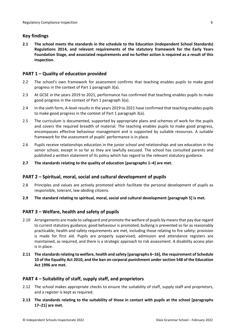# <span id="page-5-0"></span>**Key findings**

**2.1 The school meets the standards in the schedule to the Education (Independent School Standards) Regulations 2014, and relevant requirements of the statutory framework for the Early Years Foundation Stage, and associated requirements and no further action is required as a result of this inspection.**

# <span id="page-5-1"></span>**PART 1 – Quality of education provided**

- 2.2 The school's own framework for assessment confirms that teaching enables pupils to make good progress in the context of Part 1 paragraph 3(a).
- 2.3 At GCSE in the years 2019 to 2021, performance has confirmed that teaching enables pupils to make good progress in the context of Part 1 paragraph 3(a).
- 2.4 In the sixth form, A-level resultsin the years 2019 to 2021 have confirmed that teaching enables pupils to make good progress in the context of Part 1 paragraph 3(a).
- 2.5 The curriculum is documented, supported by appropriate plans and schemes of work for the pupils and covers the required breadth of material. The teaching enables pupils to make good progress, encompasses effective behaviour management and is supported by suitable resources. A suitable framework for the assessment of pupils' performance is in place.
- 2.6 Pupils receive relationships education in the junior school and relationships and sex education in the senior school, except in so far as they are lawfully excused. The school has consulted parents and published a written statement of its policy which has regard to the relevant statutory guidance.
- **2.7 The standards relating to the quality of education [paragraphs 1–4] are met.**

## <span id="page-5-2"></span>**PART 2 – Spiritual, moral, social and cultural development of pupils**

- 2.8 Principles and values are actively promoted which facilitate the personal development of pupils as responsible, tolerant, law-abiding citizens.
- **2.9 The standard relating to spiritual, moral, social and cultural development [paragraph 5] is met.**

## <span id="page-5-3"></span>**PART 3 – Welfare, health and safety of pupils**

- 2.10 Arrangements are made to safeguard and promote the welfare of pupils by meansthat pay due regard to current statutory guidance; good behaviour is promoted; bullying is prevented so far as reasonably practicable; health and safety requirements are met, including those relating to fire safety; provision is made for first aid. Pupils are properly supervised; admission and attendance registers are maintained, as required, and there is a strategic approach to risk assessment. A disability access plan is in place.
- **2.11 The standardsrelating to welfare, health and safety [paragraphs 6–16], the requirement of Schedule 10 of the Equality Act 2010, and the ban on corporal punishment undersection 548 of the Education Act 1996 are met.**

## <span id="page-5-4"></span>**PART 4 – Suitability of staff, supply staff, and proprietors**

- 2.12 The school makes appropriate checks to ensure the suitability of staff, supply staff and proprietors, and a register is kept as required.
- **2.13 The standards relating to the suitability of those in contact with pupils at the school [paragraphs 17–21] are met.**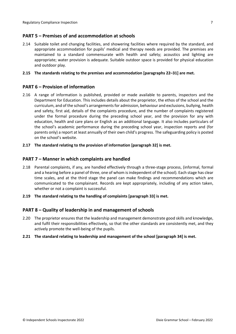# <span id="page-6-0"></span>**PART 5 – Premises of and accommodation at schools**

2.14 Suitable toilet and changing facilities, and showering facilities where required by the standard, and appropriate accommodation for pupils' medical and therapy needs are provided. The premises are maintained to a standard commensurate with health and safety; acoustics and lighting are appropriate; water provision is adequate. Suitable outdoor space is provided for physical education and outdoor play.

#### **2.15 The standards relating to the premises and accommodation [paragraphs 22–31] are met.**

## <span id="page-6-1"></span>**PART 6 – Provision of information**

- 2.16 A range of information is published, provided or made available to parents, inspectors and the Department for Education. This includes details about the proprietor, the ethos of the school and the curriculum, and of the school's arrangementsfor admission, behaviour and exclusions, bullying, health and safety, first aid, details of the complaints procedure, and the number of complaints registered under the formal procedure during the preceding school year, and the provision for any with education, health and care plans or English as an additional language. It also includes particulars of the school's academic performance during the preceding school year, inspection reports and (for parents only) a report at least annually of their own child's progress. The safeguarding policy is posted on the school's website.
- **2.17 The standard relating to the provision of information [paragraph 32] is met.**

#### <span id="page-6-2"></span>**PART 7 – Manner in which complaints are handled**

- 2.18 Parental complaints, if any, are handled effectively through a three-stage process, (informal, formal and a hearing before a panel of three, one of whom is independent of the school). Each stage has clear time scales, and at the third stage the panel can make findings and recommendations which are communicated to the complainant. Records are kept appropriately, including of any action taken, whether or not a complaint is successful.
- **2.19 The standard relating to the handling of complaints [paragraph 33] is met.**

## <span id="page-6-3"></span>**PART 8 – Quality of leadership in and management of schools**

- 2.20 The proprietor ensures that the leadership and management demonstrate good skills and knowledge, and fulfil their responsibilities effectively, so that the other standards are consistently met, and they actively promote the well-being of the pupils.
- **2.21 The standard relating to leadership and management of the school [paragraph 34] is met.**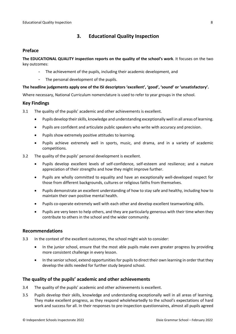# <span id="page-7-0"></span>**3. Educational Quality Inspection**

### <span id="page-7-1"></span>**Preface**

**The EDUCATIONAL QUALITY inspection reports on the quality of the school's work**. It focuses on the two key outcomes:

- The achievement of the pupils, including their academic development, and
- The personal development of the pupils.

#### **The headline judgements apply one of the ISI descriptors 'excellent', 'good', 'sound' or 'unsatisfactory'.**

Where necessary, National Curriculum nomenclature is used to refer to year groups in the school.

#### **Key Findings**

- 3.1 The quality of the pupils' academic and other achievements is excellent.
	- Pupils develop theirskills, knowledge and understanding exceptionally well in all areas of learning.
	- Pupils are confident and articulate public speakers who write with accuracy and precision.
	- Pupils show extremely positive attitudes to learning.
	- Pupils achieve extremely well in sports, music, and drama, and in a variety of academic competitions.
- 3.2 The quality of the pupils' personal development is excellent.
	- Pupils develop excellent levels of self-confidence, self-esteem and resilience; and a mature appreciation of their strengths and how they might improve further.
	- Pupils are wholly committed to equality and have an exceptionally well-developed respect for those from different backgrounds, cultures or religious faiths from themselves.
	- Pupils demonstrate an excellent understanding of how to stay safe and healthy, including how to maintain their own positive mental health.
	- Pupils co-operate extremely well with each other and develop excellent teamworking skills.
	- Pupils are very keen to help others, and they are particularly generous with their time when they contribute to others in the school and the wider community.

## <span id="page-7-2"></span>**Recommendations**

- 3.3 In the context of the excellent outcomes, the school might wish to consider:
	- In the junior school, ensure that the most able pupils make even greater progress by providing more consistent challenge in every lesson.
	- In the senior school, extend opportunities for pupils to direct their own learning in order that they develop the skills needed for further study beyond school.

## <span id="page-7-3"></span>**The quality of the pupils' academic and other achievements**

- 3.4 The quality of the pupils' academic and other achievements is excellent.
- 3.5 Pupils develop their skills, knowledge and understanding exceptionally well in all areas of learning. They make excellent progress, as they respond wholeheartedly to the school's expectations of hard work and success for all. In their responses to pre-inspection questionnaires, almost all pupils agreed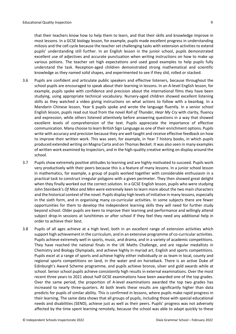that their teachers know how to help them to learn, and that their skills and knowledge improve in most lessons. In a GCSE biology lesson, for example, pupils made excellent progress in understanding mitosis and the cell cycle because the teacher set challenging tasks with extension activities to extend pupils' understanding still further. In an English lesson in the junior school, pupils demonstrated excellent use of adjectives and accurate punctuation when writing instructions on how to make up various potions. The teacher set high expectations and used good examples to help pupils fully understand the task. Reception-aged children demonstrated strong mathematical and scientific knowledge as they named solid shapes, and experimented to see if they slid, rolled or stacked.

- 3.6 Pupils are confident and articulate public speakers and effective listeners, because throughout the school pupils are encouraged to speak about their learning in lessons. In an A-level English lesson, for example, pupils spoke with confidence and precision about the international films they have been studying, using appropriate technical vocabulary. Nursery-aged children showed excellent listening skills as they watched a video giving instructions on what actions to follow with a beanbag. In a Mandarin Chinese lesson, Year 6 pupils spoke and wrote the language fluently. In a senior school English lesson, pupils read out loud from the novel *Roll of Thunder, Hear My Cry* with clarity, fluency and expression, while others listened attentively before answering questions in a way that showed excellent levels of comprehension of the text. Pupils appreciate the importance of effective communication. Many choose to learn British Sign Language as one of their enrichment options. Pupils write with accuracy and precision because they are well taught and receive effective feedback on how to improve their written work. This was seen, for example, in Year 7 history books, in which pupils produced extended writing on Magna Carta and on Thomas Becket. It was also seen in many examples of written work examined by inspectors, and in the high-quality creative writing on display around the school.
- 3.7 Pupils show extremely positive attitudes to learning and are highly motivated to succeed. Pupils work very productively with their peers because this is a feature of many lessons. In a junior school lesson in mathematics, for example, a group of pupils worked together with considerable enthusiasm in a practical task to construct irregular polygons with a given perimeter. They then showed great delight when they finally worked out the correct solution. In a GCSE English lesson, pupils who were studying John Steinbeck's *Of Mice and Men* were extremely keen to learn more about the two main characters and the historical context of the novel. Pupils display high levels of initiative in many lessons, especially in the sixth form, and in organising many co-curricular activities. In some subjects there are fewer opportunities for them to develop the independent learning skills they will need for further study beyond school. Older pupils are keen to improve their learning and performance and willingly attend subject drop-in sessions at lunchtimes or after school if they feel they need any additional help in order to achieve their best.
- 3.8 Pupils of all ages achieve at a high level, both in an excellent range of extension activities which support high achievement in the curriculum, and in an extensive programme of co-curricular activities. Pupils achieve extremely well in sports, music, and drama, and in a variety of academic competitions. They have reached the national finals in the UK Maths Challenge, and are regular medallists in Chemistry and Biology Olympiads, and achieve highly in myriad art, English and sports competitions. Pupils excel at a range of sports and achieve highly either individually or as team in local, county and regional sports competitions on land, in the water and on horseback. There is an active Duke of Edinburgh's Award Scheme programme, and pupils achieve bronze, silver and gold awards while at school. Senior school pupils achieve consistently high results in external examinations. Over the most recent three years to 2021 about half GCSE examinations have been awarded one of the top grades. Over the same period, the proportion of A-level examinations awarded the top two grades has increased to nearly three-quarters. At both levels these results are significantly higher than data predicts for pupils of similar ability. This is confirmed in lessons, where pupils make rapid progress in their learning. The same data shows that all groups of pupils, including those with special educational needs and disabilities (SEND), achieve just as well as their peers. Pupils' progress was not adversely affected by the time spent learning remotely, because the school was able to adapt quickly to these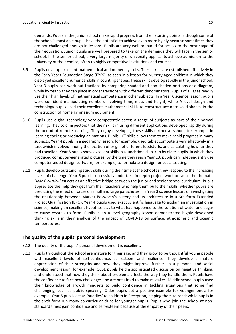demands. Pupils in the junior school make rapid progress from their starting points, although some of the school's most able pupils have the potential to achieve even more highly because sometimes they are not challenged enough in lessons. Pupils are very well prepared for access to the next stage of their education. Junior pupils are well prepared to take on the demands they will face in the senior school. In the senior school, a very large majority of university applicants achieve admission to the university of their choice, often to highly competitive institutions and courses.

- 3.9 Pupils develop excellent mathematical and numeracy skills. These skills are established effectively in the Early Years Foundation Stage (EYFS), as seen in a lesson for Nursery-aged children in which they displayed excellent numerical skills in counting shapes. These skills develop rapidly in the junior school: Year 3 pupils can work out fractions by comparing shaded and non-shaded portions of a diagram, while by Year 5 they can place in order fractions with different denominators. Pupils of all ages readily use their high levels of mathematical competence in other subjects. In a Year 6 science lesson, pupils were confident manipulating numbers involving time, mass and height, while A-level design and technology pupils used their excellent mathematical skills to construct accurate solid shapes in the construction of home gymnasium equipment.
- 3.10 Pupils use digital technology very competently across a range of subjects as part of their normal learning. They told inspectors that their skills in using different applications developed rapidly during the period of remote learning. They enjoy developing these skills further at school, for example in learning coding or producing animations. Pupils' ICT skills allow them to make rapid progress in many subjects. Year 4 pupils in a geography lesson, for example, used tablet computers very effectively in a task which involved finding the location of origin of different foodstuffs, and calculating how far they had travelled. Year 6 pupils show excellent skills in a lunchtime club, run by older pupils, in which they produced computer-generated pictures. By the time they reach Year 13, pupils can independently use computer-aided design software, for example, to formulate a design for social seating.
- 3.11 Pupils develop outstanding study skills during their time at the school asthey respond to the increasing levels of challenge. Year 6 pupils successfully undertake in-depth project work because the thematic *Dixie 6 curriculum* acts as an effective bridge between the junior and senior school curriculum. Pupils appreciate the help they get from their teachers who help them build their skills, whether pupils are predicting the effect of forces on small and large parachutesin a Year 3 science lesson, or investigating the relationship between Market Bosworth's history and its architecture in a 6th form Extended Project Qualification (EPQ). Year 4 pupils used exact scientific language to explain an investigation in science, making an excellent hypothesis as to what had happened to the solution of water and sugar to cause crystals to form. Pupils in an A-level geography lesson demonstrated highly developed thinking skills in their analysis of the impact of COVID-19 on surface, atmospheric and oceanic temperatures.

# <span id="page-9-0"></span>**The quality of the pupils' personal development**

- 3.12 The quality of the pupils' personal development is excellent.
- 3.13 Pupils throughout the school are mature for their age, and they grow to be thoughtful young people with excellent levels of self-confidence, self-esteem and resilience. They develop a mature appreciation of their strengths and how they might improve further. In a personal and social development lesson, for example, GCSE pupils held a sophisticated discussion on negative thinking, and understood that how they think about problems affects the way they handle them. Pupils have the confidence to face new challenges and are not afraid to make mistakes. Middle school pupils used their knowledge of growth mindsets to build confidence in tackling situations that some find challenging, such as public speaking. Older pupils set a positive example for younger ones: for example, Year 5 pupils act as 'buddies' to children in Reception, helping them to read; while pupils in the sixth form run many co-curricular clubs for younger pupils. Pupils who join the school at nonstandard times gain confidence and self-esteem because of the empathy of their peers.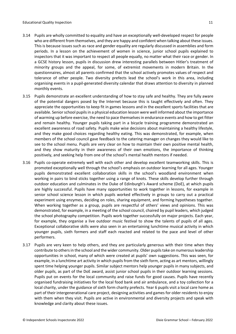- 3.14 Pupils are wholly committed to equality and have an exceptionally well-developed respect for people who are different from themselves, and they are happy and confident when talking about these issues. This is because issues such as race and gender equality are regularly discussed in assemblies and form periods. In a lesson on the achievement of women in science, junior school pupils explained to inspectors that it was important to respect all people equally, no matter what their race or gender. In a GCSE history lesson, pupils in discussion drew interesting parallels between Hitler's treatment of minority groups and the appeal, for some, of extremist movements in modern Britain. In the questionnaires, almost all parents confirmed that the school actively promotes values of respect and tolerance of other people. Two diversity prefects lead the school's work in this area, including organising events in a pupil-generated diversity calendar that draws attention to diversity in planned monthly events.
- 3.15 Pupils demonstrate an excellent understanding of how to stay safe and healthy. They are fully aware of the potential dangers posed by the Internet because this is taught effectively and often. They appreciate the opportunities to keep fit in games lessons and in the excellent sports facilities that are available. Senior school pupils in a physical education lesson were well informed about the importance of warming up before exercise, the need to pace themselvesin endurance events and how to get fitter and remain healthy. Younger pupils taking part in a bicycle training programme demonstrated an excellent awareness of road safety. Pupils make wise decisions about maintaining a healthy lifestyle, and they make good choices regarding healthy eating. This was demonstrated, for example, when members of the school council gave feedback to the catering manager on changes they would like to see to the school menu. Pupils are very clear on how to maintain their own positive mental health, and they show maturity in their awareness of their own emotions, the importance of thinking positively, and seeking help from one of the school's mental health mentors if needed.
- 3.16 Pupils co-operate extremely well with each other and develop excellent teamworking skills. This is promoted exceptionally well through the school's emphasis on outdoor learning for all ages. Younger pupils demonstrated excellent collaboration skills in the school's woodland environment when working in pairs to bind sticks together using a range of knots. These skills develop further through outdoor education and culminates in the Duke of Edinburgh's Award scheme (DoE), at which pupils are highly successful. Pupils have many opportunities to work together in lessons, for example in senior school science lesson in which pupils worked effectively in groups to carry out a practical experiment using enzymes, deciding on roles, sharing equipment, and forming hypotheses together. When working together as a group, pupils are respectful of others' views and opinions. This was demonstrated, for example, in a meeting of the school council, chaired by pupil leaders, which judged the school photography competition. Pupils work together successfully on major projects. Each year, for example, they organise a live outdoor music festival to show the talents of pupils of all ages. Exceptional collaborative skills were also seen in an entertaining lunchtime musical activity in which younger pupils, sixth formers and staff each reacted and related to the pace and level of other performers.
- 3.17 Pupils are very keen to help others, and they are particularly generous with their time when they contribute to others in the school and the wider community. Older pupils take on numerous leadership opportunities in school, many of which were created at pupils' own suggestions. This was seen, for example, in a lunchtime art activity in which pupils from the sixth form, acting as art mentors, willingly spent time helping younger pupils. Similar subject mentors help younger pupils in many subjects, and older pupils, as part of the DoE award, assist junior school pupils in their outdoor learning sessions. Pupils put on events for the local community and raise funds for good causes. Pupils have recently organised fundraising initiatives for the local food bank and air ambulance, and a toy collection for a local charity, under the guidance of sixth form charity prefects. Year 6 pupils visit a local care home as part of their intergenerational care project, designing activities and games for older residents to enjoy with them when they visit. Pupils are active in environmental and diversity projects and speak with knowledge and clarity about these issues.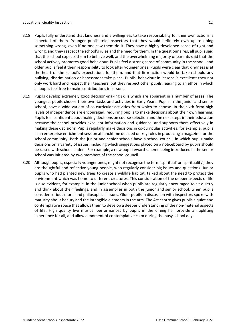- 3.18 Pupils fully understand that kindness and a willingness to take responsibility for their own actions is expected of them. Younger pupils told inspectors that they would definitely own up to doing something wrong, even if no-one saw them do it. They have a highly developed sense of right and wrong, and they respect the school's rules and the need for them. In the questionnaires, all pupils said that the school expects them to behave well, and the overwhelming majority of parents said that the school actively promotes good behaviour. Pupils feel a strong sense of community in the school, and older pupils feel it their responsibility to look after younger ones. Pupils were clear that kindness is at the heart of the school's expectations for them, and that firm action would be taken should any bullying, discrimination or harassment take place. Pupils' behaviour in lessons is excellent: they not only work hard and respect their teachers, but they respect other pupils, leading to an ethos in which all pupils feel free to make contributions in lessons.
- 3.19 Pupils develop extremely good decision-making skills which are apparent in a number of areas. The youngest pupils choose their own tasks and activities in Early Years. Pupils in the junior and senior school, have a wide variety of co-curricular activities from which to choose. In the sixth form high levels of independence are encouraged, requiring pupils to make decisions about their own learning. Pupils feel confident about making decisions on course selection and the next steps in their education because the school provides excellent information and guidance, and supports them effectively in making these decisions. Pupils regularly make decisions in co-curricular activities: for example, pupils in an enterprise enrichment session at lunchtime decided on key rolesin producing a magazine for the school community. Both the junior and senior schools have a school council, in which pupils make decisions on a variety of issues, including which suggestions placed on a noticeboard by pupils should be raised with school leaders. For example, a new pupil reward scheme being introduced in the senior school was initiated by two members of the school council.
- 3.20 Although pupils, especially younger ones, might not recognise the term 'spiritual' or 'spirituality', they are thoughtful and reflective young people, who regularly consider big issues and questions. Junior pupils who had planted new trees to create a wildlife habitat, talked about the need to protect the environment which was home to different creatures. This consideration of the deeper aspects of life is also evident, for example, in the junior school when pupils are regularly encouraged to sit quietly and think about their feelings, and in assemblies in both the junior and senior school, when pupils consider serious moral and philosophical issues. Older pupils in discussion with inspectors spoke with maturity about beauty and the intangible elements in the arts. The Art centre gives pupils a quiet and contemplative space that allows them to develop a deeper understanding of the non-material aspects of life. High quality live musical performances by pupils in the dining hall provide an uplifting experience for all, and allow a moment of contemplative calm during the busy school day.